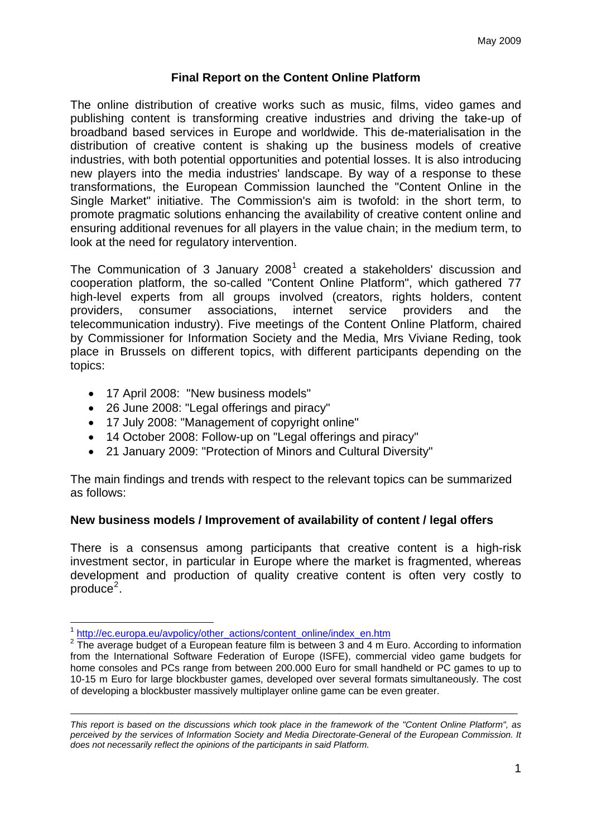## **Final Report on the Content Online Platform**

The online distribution of creative works such as music, films, video games and publishing content is transforming creative industries and driving the take-up of broadband based services in Europe and worldwide. This de-materialisation in the distribution of creative content is shaking up the business models of creative industries, with both potential opportunities and potential losses. It is also introducing new players into the media industries' landscape. By way of a response to these transformations, the European Commission launched the "Content Online in the Single Market" initiative. The Commission's aim is twofold: in the short term, to promote pragmatic solutions enhancing the availability of creative content online and ensuring additional revenues for all players in the value chain; in the medium term, to look at the need for regulatory intervention.

The Communication of 3 January 2008<sup>[1](#page-0-0)</sup> created a stakeholders' discussion and cooperation platform, the so-called "Content Online Platform", which gathered 77 high-level experts from all groups involved (creators, rights holders, content providers, consumer associations, internet service providers and the telecommunication industry). Five meetings of the Content Online Platform, chaired by Commissioner for Information Society and the Media, Mrs Viviane Reding, took place in Brussels on different topics, with different participants depending on the topics:

- 17 April 2008: "New business models"
- 26 June 2008: "Legal offerings and piracy"
- 17 July 2008: "Management of copyright online"
- 14 October 2008: Follow-up on "Legal offerings and piracy"
- 21 January 2009: "Protection of Minors and Cultural Diversity"

The main findings and trends with respect to the relevant topics can be summarized as follows:

### **New business models / Improvement of availability of content / legal offers**

There is a consensus among participants that creative content is a high-risk investment sector, in particular in Europe where the market is fragmented, whereas development and production of quality creative content is often very costly to  $produce<sup>2</sup>$  $produce<sup>2</sup>$  $produce<sup>2</sup>$ .

1

<sup>1</sup> [http://ec.europa.eu/avpolicy/other\\_actions/content\\_online/index\\_en.htm](http://ec.europa.eu/avpolicy/other_actions/content_online/index_en.htm)

<span id="page-0-1"></span><span id="page-0-0"></span><sup>&</sup>lt;sup>2</sup> The average budget of a European feature film is between 3 and 4 m Euro. According to information from the International Software Federation of Europe (ISFE), commercial video game budgets for home consoles and PCs range from between 200.000 Euro for small handheld or PC games to up to 10-15 m Euro for large blockbuster games, developed over several formats simultaneously. The cost of developing a blockbuster massively multiplayer online game can be even greater.

*This report is based on the discussions which took place in the framework of the "Content Online Platform", as perceived by the services of Information Society and Media Directorate-General of the European Commission. It does not necessarily reflect the opinions of the participants in said Platform.*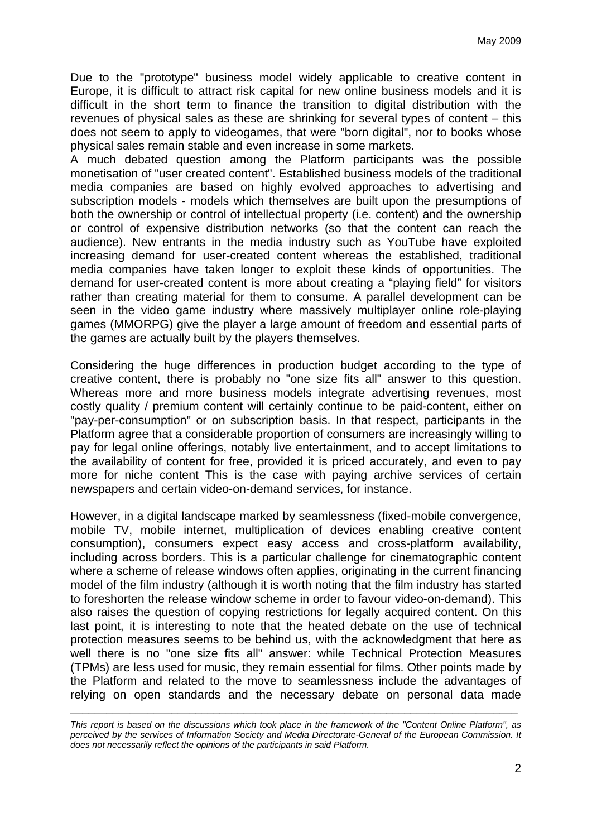Due to the "prototype" business model widely applicable to creative content in Europe, it is difficult to attract risk capital for new online business models and it is difficult in the short term to finance the transition to digital distribution with the revenues of physical sales as these are shrinking for several types of content – this does not seem to apply to videogames, that were "born digital", nor to books whose physical sales remain stable and even increase in some markets.

A much debated question among the Platform participants was the possible monetisation of "user created content". Established business models of the traditional media companies are based on highly evolved approaches to advertising and subscription models - models which themselves are built upon the presumptions of both the ownership or control of intellectual property (i.e. content) and the ownership or control of expensive distribution networks (so that the content can reach the audience). New entrants in the media industry such as YouTube have exploited increasing demand for user-created content whereas the established, traditional media companies have taken longer to exploit these kinds of opportunities. The demand for user-created content is more about creating a "playing field" for visitors rather than creating material for them to consume. A parallel development can be seen in the video game industry where massively multiplayer online role-playing games (MMORPG) give the player a large amount of freedom and essential parts of the games are actually built by the players themselves.

Considering the huge differences in production budget according to the type of creative content, there is probably no "one size fits all" answer to this question. Whereas more and more business models integrate advertising revenues, most costly quality / premium content will certainly continue to be paid-content, either on "pay-per-consumption" or on subscription basis. In that respect, participants in the Platform agree that a considerable proportion of consumers are increasingly willing to pay for legal online offerings, notably live entertainment, and to accept limitations to the availability of content for free, provided it is priced accurately, and even to pay more for niche content This is the case with paying archive services of certain newspapers and certain video-on-demand services, for instance.

However, in a digital landscape marked by seamlessness (fixed-mobile convergence, mobile TV, mobile internet, multiplication of devices enabling creative content consumption), consumers expect easy access and cross-platform availability, including across borders. This is a particular challenge for cinematographic content where a scheme of release windows often applies, originating in the current financing model of the film industry (although it is worth noting that the film industry has started to foreshorten the release window scheme in order to favour video-on-demand). This also raises the question of copying restrictions for legally acquired content. On this last point, it is interesting to note that the heated debate on the use of technical protection measures seems to be behind us, with the acknowledgment that here as well there is no "one size fits all" answer: while Technical Protection Measures (TPMs) are less used for music, they remain essential for films. Other points made by the Platform and related to the move to seamlessness include the advantages of relying on open standards and the necessary debate on personal data made

*This report is based on the discussions which took place in the framework of the "Content Online Platform", as perceived by the services of Information Society and Media Directorate-General of the European Commission. It does not necessarily reflect the opinions of the participants in said Platform.*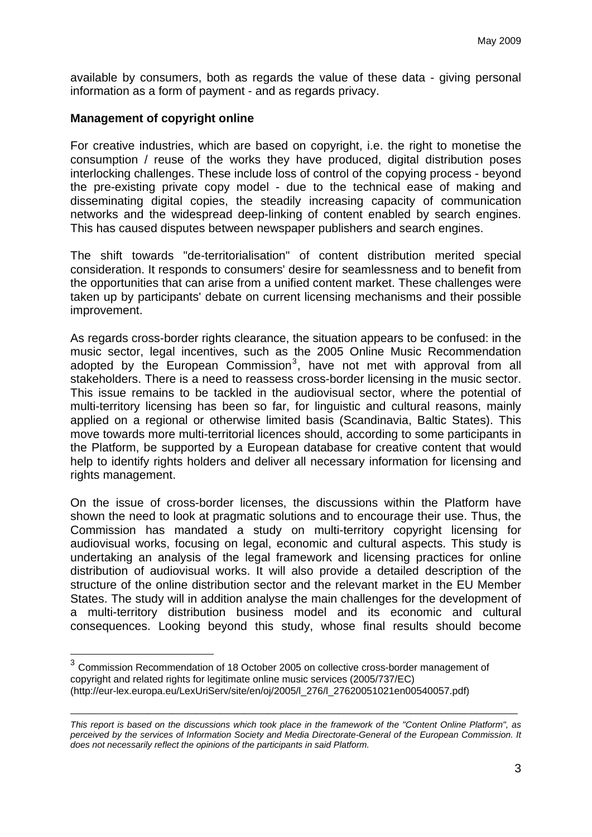available by consumers, both as regards the value of these data - giving personal information as a form of payment - and as regards privacy.

## **Management of copyright online**

1

For creative industries, which are based on copyright, i.e. the right to monetise the consumption / reuse of the works they have produced, digital distribution poses interlocking challenges. These include loss of control of the copying process - beyond the pre-existing private copy model - due to the technical ease of making and disseminating digital copies, the steadily increasing capacity of communication networks and the widespread deep-linking of content enabled by search engines. This has caused disputes between newspaper publishers and search engines.

The shift towards "de-territorialisation" of content distribution merited special consideration. It responds to consumers' desire for seamlessness and to benefit from the opportunities that can arise from a unified content market. These challenges were taken up by participants' debate on current licensing mechanisms and their possible improvement.

As regards cross-border rights clearance, the situation appears to be confused: in the music sector, legal incentives, such as the 2005 Online Music Recommendation adopted by the European Commission<sup>[3](#page-2-0)</sup>, have not met with approval from all stakeholders. There is a need to reassess cross-border licensing in the music sector. This issue remains to be tackled in the audiovisual sector, where the potential of multi-territory licensing has been so far, for linguistic and cultural reasons, mainly applied on a regional or otherwise limited basis (Scandinavia, Baltic States). This move towards more multi-territorial licences should, according to some participants in the Platform, be supported by a European database for creative content that would help to identify rights holders and deliver all necessary information for licensing and rights management.

On the issue of cross-border licenses, the discussions within the Platform have shown the need to look at pragmatic solutions and to encourage their use. Thus, the Commission has mandated a study on multi-territory copyright licensing for audiovisual works, focusing on legal, economic and cultural aspects. This study is undertaking an analysis of the legal framework and licensing practices for online distribution of audiovisual works. It will also provide a detailed description of the structure of the online distribution sector and the relevant market in the EU Member States. The study will in addition analyse the main challenges for the development of a multi-territory distribution business model and its economic and cultural consequences. Looking beyond this study, whose final results should become

<span id="page-2-0"></span><sup>&</sup>lt;sup>3</sup> Commission Recommendation of 18 October 2005 on collective cross-border management of copyright and related rights for legitimate online music services (2005/737/EC) (http://eur-lex.europa.eu/LexUriServ/site/en/oj/2005/l\_276/l\_27620051021en00540057.pdf)

*This report is based on the discussions which took place in the framework of the "Content Online Platform", as perceived by the services of Information Society and Media Directorate-General of the European Commission. It does not necessarily reflect the opinions of the participants in said Platform.*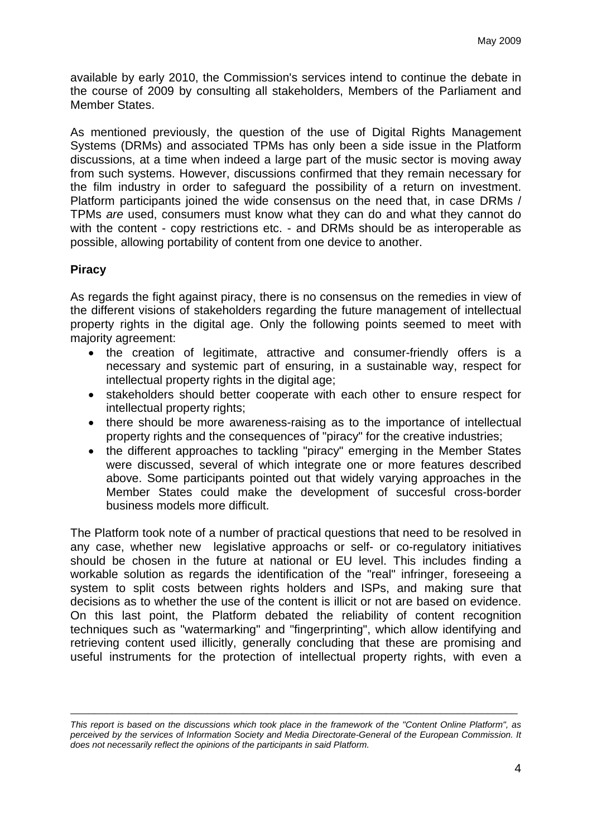available by early 2010, the Commission's services intend to continue the debate in the course of 2009 by consulting all stakeholders, Members of the Parliament and Member States.

As mentioned previously, the question of the use of Digital Rights Management Systems (DRMs) and associated TPMs has only been a side issue in the Platform discussions, at a time when indeed a large part of the music sector is moving away from such systems. However, discussions confirmed that they remain necessary for the film industry in order to safeguard the possibility of a return on investment. Platform participants joined the wide consensus on the need that, in case DRMs / TPMs *are* used, consumers must know what they can do and what they cannot do with the content - copy restrictions etc. - and DRMs should be as interoperable as possible, allowing portability of content from one device to another.

## **Piracy**

As regards the fight against piracy, there is no consensus on the remedies in view of the different visions of stakeholders regarding the future management of intellectual property rights in the digital age. Only the following points seemed to meet with majority agreement:

- the creation of legitimate, attractive and consumer-friendly offers is a necessary and systemic part of ensuring, in a sustainable way, respect for intellectual property rights in the digital age;
- stakeholders should better cooperate with each other to ensure respect for intellectual property rights;
- there should be more awareness-raising as to the importance of intellectual property rights and the consequences of "piracy" for the creative industries;
- the different approaches to tackling "piracy" emerging in the Member States were discussed, several of which integrate one or more features described above. Some participants pointed out that widely varying approaches in the Member States could make the development of succesful cross-border business models more difficult.

The Platform took note of a number of practical questions that need to be resolved in any case, whether new legislative approachs or self- or co-regulatory initiatives should be chosen in the future at national or EU level. This includes finding a workable solution as regards the identification of the "real" infringer, foreseeing a system to split costs between rights holders and ISPs, and making sure that decisions as to whether the use of the content is illicit or not are based on evidence. On this last point, the Platform debated the reliability of content recognition techniques such as "watermarking" and "fingerprinting", which allow identifying and retrieving content used illicitly, generally concluding that these are promising and useful instruments for the protection of intellectual property rights, with even a

*This report is based on the discussions which took place in the framework of the "Content Online Platform", as perceived by the services of Information Society and Media Directorate-General of the European Commission. It does not necessarily reflect the opinions of the participants in said Platform.*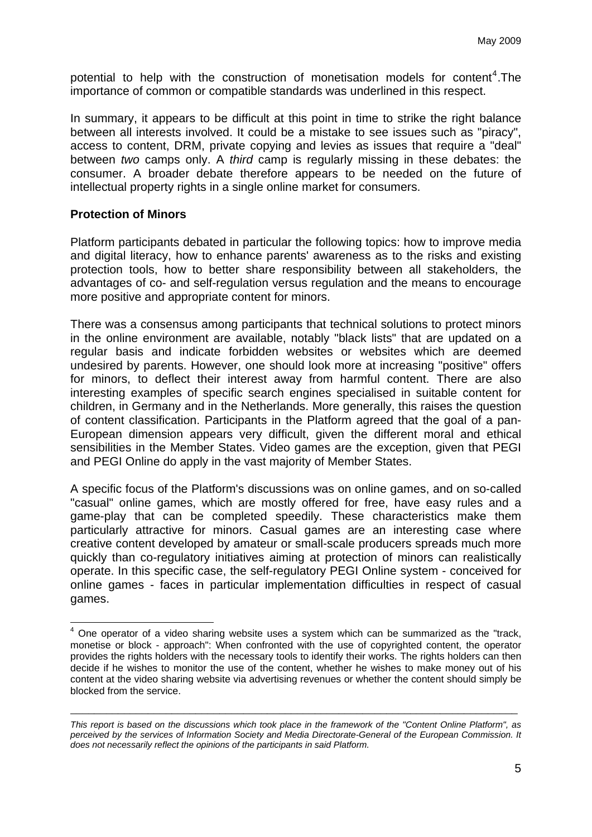potential to help with the construction of monetisation models for content<sup>[4](#page-4-0)</sup>. The importance of common or compatible standards was underlined in this respect.

In summary, it appears to be difficult at this point in time to strike the right balance between all interests involved. It could be a mistake to see issues such as "piracy", access to content, DRM, private copying and levies as issues that require a "deal" between *two* camps only. A *third* camp is regularly missing in these debates: the consumer. A broader debate therefore appears to be needed on the future of intellectual property rights in a single online market for consumers.

#### **Protection of Minors**

1

Platform participants debated in particular the following topics: how to improve media and digital literacy, how to enhance parents' awareness as to the risks and existing protection tools, how to better share responsibility between all stakeholders, the advantages of co- and self-regulation versus regulation and the means to encourage more positive and appropriate content for minors.

There was a consensus among participants that technical solutions to protect minors in the online environment are available, notably "black lists" that are updated on a regular basis and indicate forbidden websites or websites which are deemed undesired by parents. However, one should look more at increasing "positive" offers for minors, to deflect their interest away from harmful content. There are also interesting examples of specific search engines specialised in suitable content for children, in Germany and in the Netherlands. More generally, this raises the question of content classification. Participants in the Platform agreed that the goal of a pan-European dimension appears very difficult, given the different moral and ethical sensibilities in the Member States. Video games are the exception, given that PEGI and PEGI Online do apply in the vast majority of Member States.

A specific focus of the Platform's discussions was on online games, and on so-called "casual" online games, which are mostly offered for free, have easy rules and a game-play that can be completed speedily. These characteristics make them particularly attractive for minors. Casual games are an interesting case where creative content developed by amateur or small-scale producers spreads much more quickly than co-regulatory initiatives aiming at protection of minors can realistically operate. In this specific case, the self-regulatory PEGI Online system - conceived for online games - faces in particular implementation difficulties in respect of casual games.

<span id="page-4-0"></span> $4$  One operator of a video sharing website uses a system which can be summarized as the "track, monetise or block - approach": When confronted with the use of copyrighted content, the operator provides the rights holders with the necessary tools to identify their works. The rights holders can then decide if he wishes to monitor the use of the content, whether he wishes to make money out of his content at the video sharing website via advertising revenues or whether the content should simply be blocked from the service.

*This report is based on the discussions which took place in the framework of the "Content Online Platform", as perceived by the services of Information Society and Media Directorate-General of the European Commission. It does not necessarily reflect the opinions of the participants in said Platform.*